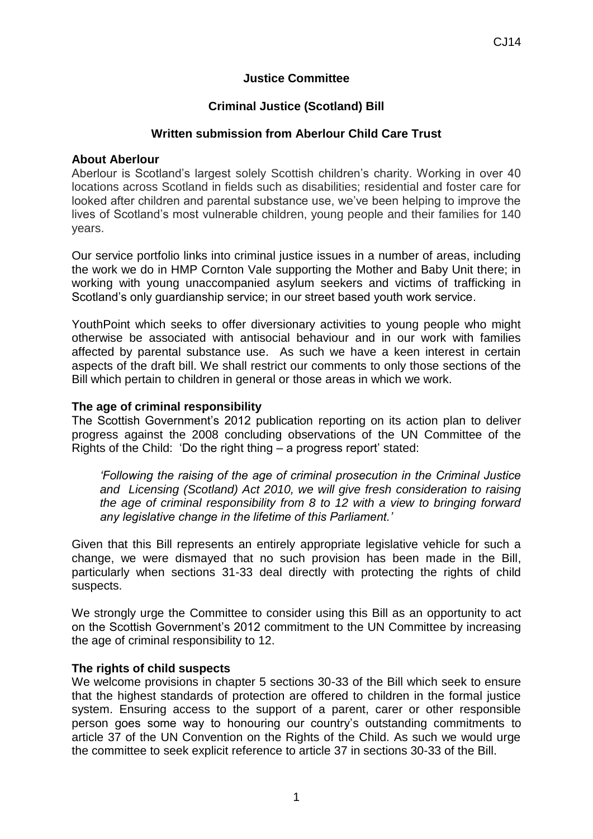# **Justice Committee**

# **Criminal Justice (Scotland) Bill**

## **Written submission from Aberlour Child Care Trust**

### **About Aberlour**

Aberlour is Scotland's largest solely Scottish children's charity. Working in over 40 locations across Scotland in fields such as disabilities; residential and foster care for looked after children and parental substance use, we've been helping to improve the lives of Scotland's most vulnerable children, young people and their families for 140 years.

Our service portfolio links into criminal justice issues in a number of areas, including the work we do in HMP Cornton Vale supporting the Mother and Baby Unit there; in working with young unaccompanied asylum seekers and victims of trafficking in Scotland's only guardianship service; in our street based youth work service.

YouthPoint which seeks to offer diversionary activities to young people who might otherwise be associated with antisocial behaviour and in our work with families affected by parental substance use. As such we have a keen interest in certain aspects of the draft bill. We shall restrict our comments to only those sections of the Bill which pertain to children in general or those areas in which we work.

### **The age of criminal responsibility**

The Scottish Government's 2012 publication reporting on its action plan to deliver progress against the 2008 concluding observations of the UN Committee of the Rights of the Child: 'Do the right thing – a progress report' stated:

*'Following the raising of the age of criminal prosecution in the Criminal Justice and Licensing (Scotland) Act 2010, we will give fresh consideration to raising the age of criminal responsibility from 8 to 12 with a view to bringing forward any legislative change in the lifetime of this Parliament.'*

Given that this Bill represents an entirely appropriate legislative vehicle for such a change, we were dismayed that no such provision has been made in the Bill, particularly when sections 31-33 deal directly with protecting the rights of child suspects.

We strongly urge the Committee to consider using this Bill as an opportunity to act on the Scottish Government's 2012 commitment to the UN Committee by increasing the age of criminal responsibility to 12.

#### **The rights of child suspects**

We welcome provisions in chapter 5 sections 30-33 of the Bill which seek to ensure that the highest standards of protection are offered to children in the formal justice system. Ensuring access to the support of a parent, carer or other responsible person goes some way to honouring our country's outstanding commitments to article 37 of the UN Convention on the Rights of the Child. As such we would urge the committee to seek explicit reference to article 37 in sections 30-33 of the Bill.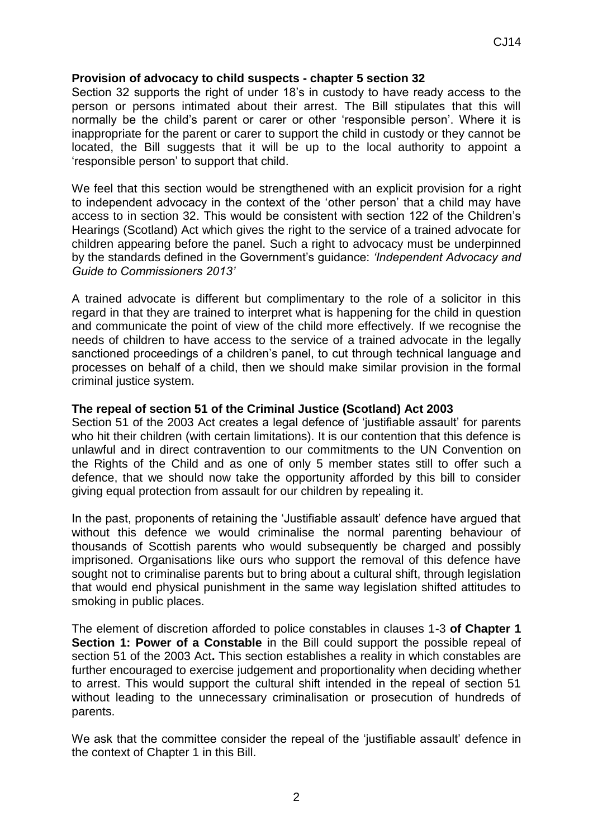# **Provision of advocacy to child suspects - chapter 5 section 32**

Section 32 supports the right of under 18's in custody to have ready access to the person or persons intimated about their arrest. The Bill stipulates that this will normally be the child's parent or carer or other 'responsible person'. Where it is inappropriate for the parent or carer to support the child in custody or they cannot be located, the Bill suggests that it will be up to the local authority to appoint a 'responsible person' to support that child.

We feel that this section would be strengthened with an explicit provision for a right to independent advocacy in the context of the 'other person' that a child may have access to in section 32. This would be consistent with section 122 of the Children's Hearings (Scotland) Act which gives the right to the service of a trained advocate for children appearing before the panel. Such a right to advocacy must be underpinned by the standards defined in the Government's guidance: *'Independent Advocacy and Guide to Commissioners 2013'*

A trained advocate is different but complimentary to the role of a solicitor in this regard in that they are trained to interpret what is happening for the child in question and communicate the point of view of the child more effectively. If we recognise the needs of children to have access to the service of a trained advocate in the legally sanctioned proceedings of a children's panel, to cut through technical language and processes on behalf of a child, then we should make similar provision in the formal criminal justice system.

### **The repeal of section 51 of the Criminal Justice (Scotland) Act 2003**

Section 51 of the 2003 Act creates a legal defence of 'justifiable assault' for parents who hit their children (with certain limitations). It is our contention that this defence is unlawful and in direct contravention to our commitments to the UN Convention on the Rights of the Child and as one of only 5 member states still to offer such a defence, that we should now take the opportunity afforded by this bill to consider giving equal protection from assault for our children by repealing it.

In the past, proponents of retaining the 'Justifiable assault' defence have argued that without this defence we would criminalise the normal parenting behaviour of thousands of Scottish parents who would subsequently be charged and possibly imprisoned. Organisations like ours who support the removal of this defence have sought not to criminalise parents but to bring about a cultural shift, through legislation that would end physical punishment in the same way legislation shifted attitudes to smoking in public places.

The element of discretion afforded to police constables in clauses 1-3 **of Chapter 1 Section 1: Power of a Constable** in the Bill could support the possible repeal of section 51 of the 2003 Act**.** This section establishes a reality in which constables are further encouraged to exercise judgement and proportionality when deciding whether to arrest. This would support the cultural shift intended in the repeal of section 51 without leading to the unnecessary criminalisation or prosecution of hundreds of parents.

We ask that the committee consider the repeal of the 'justifiable assault' defence in the context of Chapter 1 in this Bill.